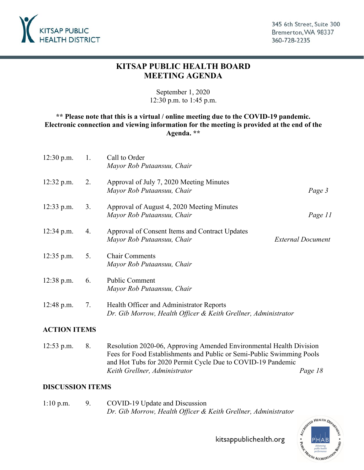

### **KITSAP PUBLIC HEALTH BOARD MEETING AGENDA**

September 1, 2020 12:30 p.m. to 1:45 p.m.

#### **\*\* Please note that this is a virtual / online meeting due to the COVID-19 pandemic. Electronic connection and viewing information for the meeting is provided at the end of the Agenda. \*\***

| $12:30$ p.m. | 1. | Call to Order<br>Mayor Rob Putaansuu, Chair                                                                |                          |
|--------------|----|------------------------------------------------------------------------------------------------------------|--------------------------|
| $12:32$ p.m. | 2. | Approval of July 7, 2020 Meeting Minutes<br>Mayor Rob Putaansuu, Chair                                     | Page 3                   |
| $12:33$ p.m. | 3. | Approval of August 4, 2020 Meeting Minutes<br>Mayor Rob Putaansuu, Chair                                   | Page 11                  |
| $12:34$ p.m. | 4. | Approval of Consent Items and Contract Updates<br>Mayor Rob Putaansuu, Chair                               | <b>External Document</b> |
| $12:35$ p.m. | 5. | <b>Chair Comments</b><br>Mayor Rob Putaansuu, Chair                                                        |                          |
| $12:38$ p.m. | 6. | <b>Public Comment</b><br>Mayor Rob Putaansuu, Chair                                                        |                          |
| $12:48$ p.m. | 7. | Health Officer and Administrator Reports<br>Dr. Gib Morrow, Health Officer & Keith Grellner, Administrator |                          |

#### **ACTION ITEMS**

[12:53 p.m. 8. Resolution 2020-06, Approving Amended Environmental Health Division](#page-17-0)  Fees for Food Establishments and Public or Semi-Public Swimming Pools and Hot Tubs for 2020 Permit Cycle Due to COVID-19 Pandemic *Keith Grellner, Administrator Page 18* 

#### **DISCUSSION ITEMS**

1:10 p.m. 9. COVID-19 Update and Discussion *Dr. Gib Morrow, Health Officer & Keith Grellner, Administrator*



kitsappublichealth.org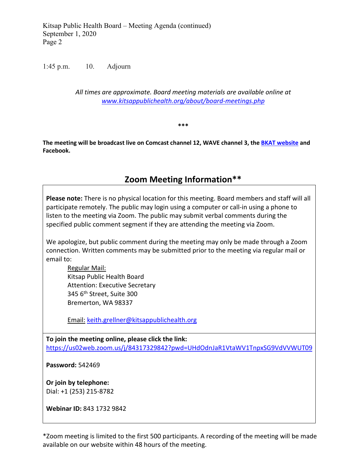Kitsap Public Health Board – Meeting Agenda (continued) September 1, 2020 Page 2

1:45 p.m. 10. Adjourn

*All times are approximate. Board meeting materials are available online at [www.kitsappublichealth.org/about/board-meetings.php](http://www.kitsappublichealth.org/about/board-meetings.php)*

**\*\*\***

**The meeting will be broadcast live on Comcast channel 12, WAVE channel 3, the [BKAT website](https://nam11.safelinks.protection.outlook.com/?url=https%3A%2F%2Fbremerton.vod.castus.tv%2Fvod%2F%3Flive%3Dch1%26nav%3Dlive&data=02%7C01%7Ctad.sooter%40kitsappublichealth.org%7C70e46eec78d9476d7de908d812df0723%7C63ea23e1c6c043fe8754515c89aa179a%7C1%7C0%7C637280096402868918&sdata=0ZX0kqN8Hu4Jq%2BCWBIZ2C47Hna15%2Bor0269cQefRTh8%3D&reserved=0) and Facebook.**

## **Zoom Meeting Information\*\***

**Please note:** There is no physical location for this meeting. Board members and staff will all participate remotely. The public may login using a computer or call-in using a phone to listen to the meeting via Zoom. The public may submit verbal comments during the specified public comment segment if they are attending the meeting via Zoom.

We apologize, but public comment during the meeting may only be made through a Zoom connection. Written comments may be submitted prior to the meeting via regular mail or email to:

Regular Mail: Kitsap Public Health Board Attention: Executive Secretary 345 6<sup>th</sup> Street, Suite 300 Bremerton, WA 98337

Email: [keith.grellner@kitsappublichealth.org](mailto:keith.grellner@kitsappublichealth.org)

**To join the meeting online, please click the link:** <https://us02web.zoom.us/j/84317329842?pwd=UHdOdnJaR1VtaWV1TnpxSG9VdVVWUT09>

**Password:** 542469

**Or join by telephone:** Dial: +1 (253) 215-8782

**Webinar ID:** 843 1732 9842

\*Zoom meeting is limited to the first 500 participants. A recording of the meeting will be made available on our website within 48 hours of the meeting.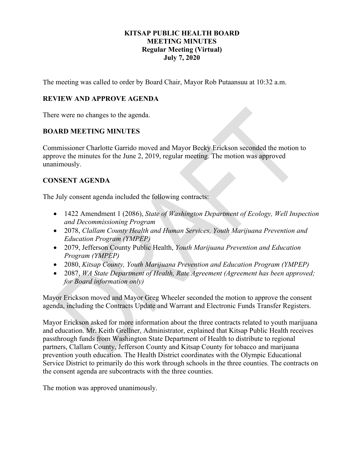#### **KITSAP PUBLIC HEALTH BOARD MEETING MINUTES Regular Meeting (Virtual) July 7, 2020**

<span id="page-2-0"></span>The meeting was called to order by Board Chair, Mayor Rob Putaansuu at 10:32 a.m.

#### **REVIEW AND APPROVE AGENDA**

There were no changes to the agenda.

#### **BOARD MEETING MINUTES**

Commissioner Charlotte Garrido moved and Mayor Becky Erickson seconded the motion to approve the minutes for the June 2, 2019, regular meeting. The motion was approved unanimously.

#### **CONSENT AGENDA**

The July consent agenda included the following contracts:

- 1422 Amendment 1 (2086), *State of Washington Department of Ecology, Well Inspection and Decommissioning Program*
- 2078, *Clallam County Health and Human Services, Youth Marijuana Prevention and Education Program (YMPEP)*
- 2079, Jefferson County Public Health, *Youth Marijuana Prevention and Education Program (YMPEP)*
- 2080, *Kitsap County, Youth Marijuana Prevention and Education Program (YMPEP)*
- 2087, *WA State Department of Health, Rate Agreement (Agreement has been approved; for Board information only)*

Mayor Erickson moved and Mayor Greg Wheeler seconded the motion to approve the consent agenda, including the Contracts Update and Warrant and Electronic Funds Transfer Registers.

Mayor Erickson asked for more information about the three contracts related to youth marijuana and education. Mr. Keith Grellner, Administrator, explained that Kitsap Public Health receives passthrough funds from Washington State Department of Health to distribute to regional partners, Clallam County, Jefferson County and Kitsap County for tobacco and marijuana prevention youth education. The Health District coordinates with the Olympic Educational Service District to primarily do this work through schools in the three counties. The contracts on the consent agenda are subcontracts with the three counties.

The motion was approved unanimously.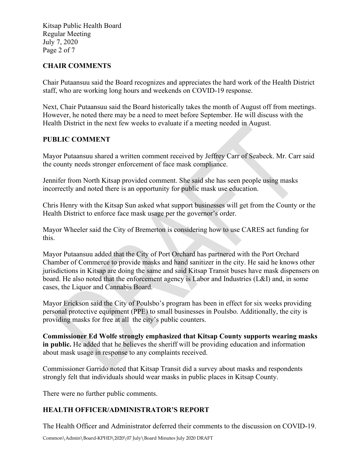Kitsap Public Health Board Regular Meeting July 7, 2020 Page 2 of 7

#### **CHAIR COMMENTS**

Chair Putaansuu said the Board recognizes and appreciates the hard work of the Health District staff, who are working long hours and weekends on COVID-19 response.

Next, Chair Putaansuu said the Board historically takes the month of August off from meetings. However, he noted there may be a need to meet before September. He will discuss with the Health District in the next few weeks to evaluate if a meeting needed in August.

#### **PUBLIC COMMENT**

Mayor Putaansuu shared a written comment received by Jeffrey Carr of Seabeck. Mr. Carr said the county needs stronger enforcement of face mask compliance.

Jennifer from North Kitsap provided comment. She said she has seen people using masks incorrectly and noted there is an opportunity for public mask use education.

Chris Henry with the Kitsap Sun asked what support businesses will get from the County or the Health District to enforce face mask usage per the governor's order.

Mayor Wheeler said the City of Bremerton is considering how to use CARES act funding for this.

Mayor Putaansuu added that the City of Port Orchard has partnered with the Port Orchard Chamber of Commerce to provide masks and hand sanitizer in the city. He said he knows other jurisdictions in Kitsap are doing the same and said Kitsap Transit buses have mask dispensers on board. He also noted that the enforcement agency is Labor and Industries (L&I) and, in some cases, the Liquor and Cannabis Board.

Mayor Erickson said the City of Poulsbo's program has been in effect for six weeks providing personal protective equipment (PPE) to small businesses in Poulsbo. Additionally, the city is providing masks for free at all the city's public counters.

**Commissioner Ed Wolfe strongly emphasized that Kitsap County supports wearing masks in public.** He added that he believes the sheriff will be providing education and information about mask usage in response to any complaints received.

Commissioner Garrido noted that Kitsap Transit did a survey about masks and respondents strongly felt that individuals should wear masks in public places in Kitsap County.

There were no further public comments.

#### **HEALTH OFFICER/ADMINISTRATOR'S REPORT**

The Health Officer and Administrator deferred their comments to the discussion on COVID-19.

Common\Admin\Board-KPHD\2020\07 July\Board Minutes July 2020 DRAFT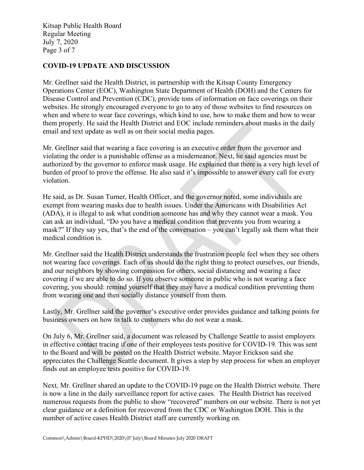Kitsap Public Health Board Regular Meeting July 7, 2020 Page 3 of 7

#### **COVID-19 UPDATE AND DISCUSSION**

Mr. Grellner said the Health District, in partnership with the Kitsap County Emergency Operations Center (EOC), Washington State Department of Health (DOH) and the Centers for Disease Control and Prevention (CDC), provide tons of information on face coverings on their websites. He strongly encouraged everyone to go to any of those websites to find resources on when and where to wear face coverings, which kind to use, how to make them and how to wear them properly. He said the Health District and EOC include reminders about masks in the daily email and text update as well as on their social media pages.

Mr. Grellner said that wearing a face covering is an executive order from the governor and violating the order is a punishable offense as a misdemeanor. Next, he said agencies must be authorized by the governor to enforce mask usage. He explained that there is a very high level of burden of proof to prove the offense. He also said it's impossible to answer every call for every violation.

He said, as Dr. Susan Turner, Health Officer, and the governor noted, some individuals are exempt from wearing masks due to health issues. Under the Americans with Disabilities Act (ADA), it is illegal to ask what condition someone has and why they cannot wear a mask. You can ask an individual, "Do you have a medical condition that prevents you from wearing a mask?" If they say yes, that's the end of the conversation – you can't legally ask them what their medical condition is.

Mr. Grellner said the Health District understands the frustration people feel when they see others not wearing face coverings. Each of us should do the right thing to protect ourselves, our friends, and our neighbors by showing compassion for others, social distancing and wearing a face covering if we are able to do so. If you observe someone in public who is not wearing a face covering, you should: remind yourself that they may have a medical condition preventing them from wearing one and then socially distance yourself from them.

Lastly, Mr. Grellner said the governor's executive order provides guidance and talking points for business owners on how to talk to customers who do not wear a mask.

On July 6, Mr. Grellner said, a document was released by Challenge Seattle to assist employers in effective contact tracing if one of their employees tests positive for COVID-19. This was sent to the Board and will be posted on the Health District website. Mayor Erickson said she appreciates the Challenge Seattle document. It gives a step by step process for when an employer finds out an employee tests positive for COVID-19.

Next, Mr. Grellner shared an update to the COVID-19 page on the Health District website. There is now a line in the daily surveillance report for active cases. The Health District has received numerous requests from the public to show "recovered" numbers on our website. There is not yet clear guidance or a definition for recovered from the CDC or Washington DOH. This is the number of active cases Health District staff are currently working on.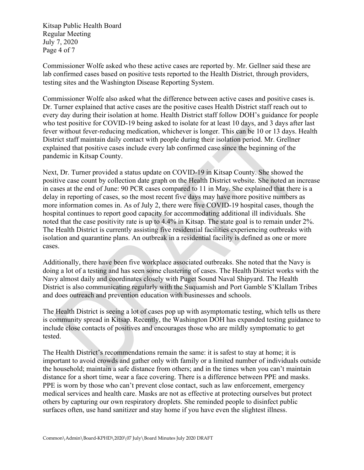Kitsap Public Health Board Regular Meeting July 7, 2020 Page 4 of 7

Commissioner Wolfe asked who these active cases are reported by. Mr. Gellner said these are lab confirmed cases based on positive tests reported to the Health District, through providers, testing sites and the Washington Disease Reporting System.

Commissioner Wolfe also asked what the difference between active cases and positive cases is. Dr. Turner explained that active cases are the positive cases Health District staff reach out to every day during their isolation at home. Health District staff follow DOH's guidance for people who test positive for COVID-19 being asked to isolate for at least 10 days, and 3 days after last fever without fever-reducing medication, whichever is longer. This can be 10 or 13 days. Health District staff maintain daily contact with people during their isolation period. Mr. Grellner explained that positive cases include every lab confirmed case since the beginning of the pandemic in Kitsap County.

Next, Dr. Turner provided a status update on COVID-19 in Kitsap County. She showed the positive case count by collection date graph on the Health District website. She noted an increase in cases at the end of June: 90 PCR cases compared to 11 in May. She explained that there is a delay in reporting of cases, so the most recent five days may have more positive numbers as more information comes in. As of July 2, there were five COVID-19 hospital cases, though the hospital continues to report good capacity for accommodating additional ill individuals. She noted that the case positivity rate is up to 4.4% in Kitsap. The state goal is to remain under 2%. The Health District is currently assisting five residential facilities experiencing outbreaks with isolation and quarantine plans. An outbreak in a residential facility is defined as one or more cases.

Additionally, there have been five workplace associated outbreaks. She noted that the Navy is doing a lot of a testing and has seen some clustering of cases. The Health District works with the Navy almost daily and coordinates closely with Puget Sound Naval Shipyard. The Health District is also communicating regularly with the Suquamish and Port Gamble S'Klallam Tribes and does outreach and prevention education with businesses and schools.

The Health District is seeing a lot of cases pop up with asymptomatic testing, which tells us there is community spread in Kitsap. Recently, the Washington DOH has expanded testing guidance to include close contacts of positives and encourages those who are mildly symptomatic to get tested.

The Health District's recommendations remain the same: it is safest to stay at home; it is important to avoid crowds and gather only with family or a limited number of individuals outside the household; maintain a safe distance from others; and in the times when you can't maintain distance for a short time, wear a face covering. There is a difference between PPE and masks. PPE is worn by those who can't prevent close contact, such as law enforcement, emergency medical services and health care. Masks are not as effective at protecting ourselves but protect others by capturing our own respiratory droplets. She reminded people to disinfect public surfaces often, use hand sanitizer and stay home if you have even the slightest illness.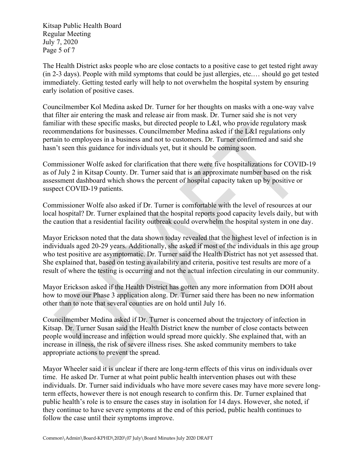Kitsap Public Health Board Regular Meeting July 7, 2020 Page 5 of 7

The Health District asks people who are close contacts to a positive case to get tested right away (in 2-3 days). People with mild symptoms that could be just allergies, etc.… should go get tested immediately. Getting tested early will help to not overwhelm the hospital system by ensuring early isolation of positive cases.

Councilmember Kol Medina asked Dr. Turner for her thoughts on masks with a one-way valve that filter air entering the mask and release air from mask. Dr. Turner said she is not very familiar with these specific masks, but directed people to L&I, who provide regulatory mask recommendations for businesses. Councilmember Medina asked if the L&I regulations only pertain to employees in a business and not to customers. Dr. Turner confirmed and said she hasn't seen this guidance for individuals yet, but it should be coming soon.

Commissioner Wolfe asked for clarification that there were five hospitalizations for COVID-19 as of July 2 in Kitsap County. Dr. Turner said that is an approximate number based on the risk assessment dashboard which shows the percent of hospital capacity taken up by positive or suspect COVID-19 patients.

Commissioner Wolfe also asked if Dr. Turner is comfortable with the level of resources at our local hospital? Dr. Turner explained that the hospital reports good capacity levels daily, but with the caution that a residential facility outbreak could overwhelm the hospital system in one day.

Mayor Erickson noted that the data shown today revealed that the highest level of infection is in individuals aged 20-29 years. Additionally, she asked if most of the individuals in this age group who test positive are asymptomatic. Dr. Turner said the Health District has not yet assessed that. She explained that, based on testing availability and criteria, positive test results are more of a result of where the testing is occurring and not the actual infection circulating in our community.

Mayor Erickson asked if the Health District has gotten any more information from DOH about how to move our Phase 3 application along. Dr. Turner said there has been no new information other than to note that several counties are on hold until July 16.

Councilmember Medina asked if Dr. Turner is concerned about the trajectory of infection in Kitsap. Dr. Turner Susan said the Health District knew the number of close contacts between people would increase and infection would spread more quickly. She explained that, with an increase in illness, the risk of severe illness rises. She asked community members to take appropriate actions to prevent the spread.

Mayor Wheeler said it is unclear if there are long-term effects of this virus on individuals over time. He asked Dr. Turner at what point public health intervention phases out with these individuals. Dr. Turner said individuals who have more severe cases may have more severe longterm effects, however there is not enough research to confirm this. Dr. Turner explained that public health's role is to ensure the cases stay in isolation for 14 days. However, she noted, if they continue to have severe symptoms at the end of this period, public health continues to follow the case until their symptoms improve.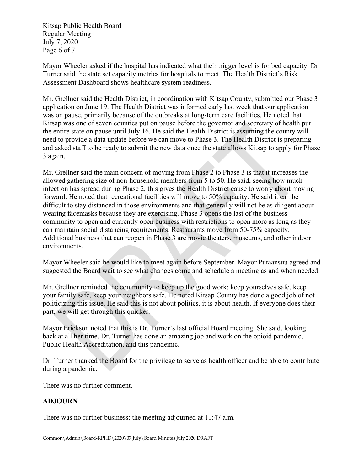Kitsap Public Health Board Regular Meeting July 7, 2020 Page 6 of 7

Mayor Wheeler asked if the hospital has indicated what their trigger level is for bed capacity. Dr. Turner said the state set capacity metrics for hospitals to meet. The Health District's Risk Assessment Dashboard shows healthcare system readiness.

Mr. Grellner said the Health District, in coordination with Kitsap County, submitted our Phase 3 application on June 19. The Health District was informed early last week that our application was on pause, primarily because of the outbreaks at long-term care facilities. He noted that Kitsap was one of seven counties put on pause before the governor and secretary of health put the entire state on pause until July 16. He said the Health District is assuming the county will need to provide a data update before we can move to Phase 3. The Health District is preparing and asked staff to be ready to submit the new data once the state allows Kitsap to apply for Phase 3 again.

Mr. Grellner said the main concern of moving from Phase 2 to Phase 3 is that it increases the allowed gathering size of non-household members from 5 to 50. He said, seeing how much infection has spread during Phase 2, this gives the Health District cause to worry about moving forward. He noted that recreational facilities will move to 50% capacity. He said it can be difficult to stay distanced in those environments and that generally will not be as diligent about wearing facemasks because they are exercising. Phase 3 opens the last of the business community to open and currently open business with restrictions to open more as long as they can maintain social distancing requirements. Restaurants move from 50-75% capacity. Additional business that can reopen in Phase 3 are movie theaters, museums, and other indoor environments.

Mayor Wheeler said he would like to meet again before September. Mayor Putaansuu agreed and suggested the Board wait to see what changes come and schedule a meeting as and when needed.

Mr. Grellner reminded the community to keep up the good work: keep yourselves safe, keep your family safe, keep your neighbors safe. He noted Kitsap County has done a good job of not politicizing this issue. He said this is not about politics, it is about health. If everyone does their part, we will get through this quicker.

Mayor Erickson noted that this is Dr. Turner's last official Board meeting. She said, looking back at all her time, Dr. Turner has done an amazing job and work on the opioid pandemic, Public Health Accreditation, and this pandemic.

Dr. Turner thanked the Board for the privilege to serve as health officer and be able to contribute during a pandemic.

There was no further comment.

#### **ADJOURN**

There was no further business; the meeting adjourned at 11:47 a.m.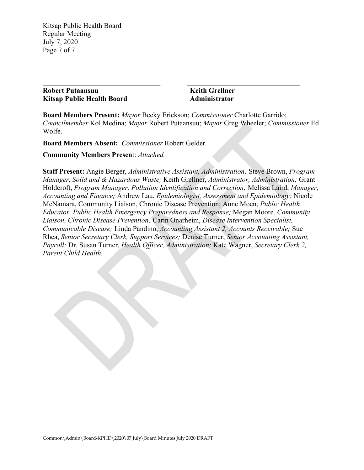Kitsap Public Health Board Regular Meeting July 7, 2020 Page 7 of 7

**Robert Putaansuu Keith Grellner Kitsap Public Health Board Administrator**

**\_\_\_\_\_\_\_\_\_\_\_\_\_\_\_\_\_\_\_\_\_\_\_\_\_\_\_\_\_\_\_\_\_ \_\_\_\_\_\_\_\_\_\_\_\_\_\_\_\_\_\_\_\_\_\_\_\_\_\_\_\_\_\_\_**

**Board Members Present:** *Mayor* Becky Erickson; *Commissioner* Charlotte Garrido; *Councilmember* Kol Medina; *Mayor* Robert Putaansuu; *Mayor* Greg Wheeler; *Commissioner* Ed Wolfe.

**Board Members Absent:** *Commissioner* Robert Gelder.

**Community Members Presen**t: *Attached.*

**Staff Present:** Angie Berger, *Administrative Assistant, Administration;* Steve Brown, *Program Manager, Solid and & Hazardous Waste;* Keith Grellner, *Administrator, Administration;* Grant Holdcroft, *Program Manager, Pollution Identification and Correction;* Melissa Laird, *Manager, Accounting and Finance;* Andrew Lau, *Epidemiologist, Assessment and Epidemiology;* Nicole McNamara, Community Liaison, Chronic Disease Prevention; Anne Moen, *Public Health Educator, Public Health Emergency Preparedness and Response;* Megan Moore*, Community Liaison, Chronic Disease Prevention;* Carin Onarheim, *Disease Intervention Specialist, Communicable Disease;* Linda Pandino, *Accounting Assistant 2, Accounts Receivable;* Sue Rhea, *Senior Secretary Clerk, Support Services;* Denise Turner, *Senior Accounting Assistant, Payroll;* Dr. Susan Turner, *Health Officer, Administration;* Kate Wagner, *Secretary Clerk 2, Parent Child Health.*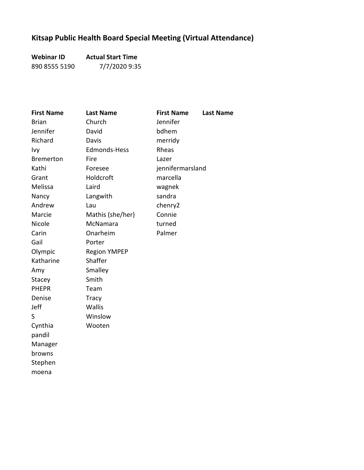# **Kitsap Public Health Board Special Meeting (Virtual Attendance)**

**Webinar ID Actual Start Time** 890 8555 5190 7/7/2020 9:35

| <b>First Name</b> | <b>Last Name</b>    | <b>First Name</b> | <b>Last Name</b> |
|-------------------|---------------------|-------------------|------------------|
| <b>Brian</b>      | Church              | Jennifer          |                  |
| Jennifer          | David               | bdhem             |                  |
| Richard           | Davis               | merridy           |                  |
| Ivy               | Edmonds-Hess        | Rheas             |                  |
| <b>Bremerton</b>  | Fire                | Lazer             |                  |
| Kathi             | Foresee             | jennifermarsland  |                  |
| Grant             | Holdcroft           | marcella          |                  |
| Melissa           | Laird               | wagnek            |                  |
| Nancy             | Langwith            | sandra            |                  |
| Andrew            | Lau                 | chenry2           |                  |
| Marcie            | Mathis (she/her)    | Connie            |                  |
| Nicole            | McNamara            | turned            |                  |
| Carin             | Onarheim            | Palmer            |                  |
| Gail              | Porter              |                   |                  |
| Olympic           | <b>Region YMPEP</b> |                   |                  |
| Katharine         | Shaffer             |                   |                  |
| Amy               | Smalley             |                   |                  |
| Stacey            | Smith               |                   |                  |
| <b>PHEPR</b>      | Team                |                   |                  |
| Denise            | <b>Tracy</b>        |                   |                  |
| Jeff              | <b>Wallis</b>       |                   |                  |
| S                 | Winslow             |                   |                  |
| Cynthia           | Wooten              |                   |                  |
| pandil            |                     |                   |                  |
| Manager           |                     |                   |                  |
| browns            |                     |                   |                  |
| Stephen           |                     |                   |                  |
| moena             |                     |                   |                  |
|                   |                     |                   |                  |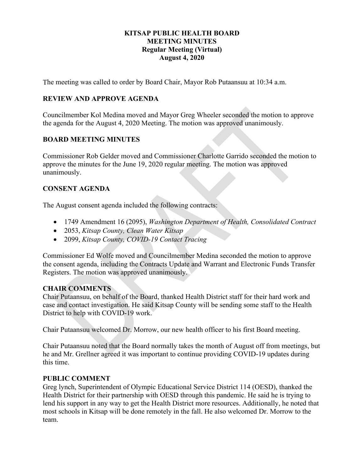#### **KITSAP PUBLIC HEALTH BOARD MEETING MINUTES Regular Meeting (Virtual) August 4, 2020**

<span id="page-10-0"></span>The meeting was called to order by Board Chair, Mayor Rob Putaansuu at 10:34 a.m.

#### **REVIEW AND APPROVE AGENDA**

Councilmember Kol Medina moved and Mayor Greg Wheeler seconded the motion to approve the agenda for the August 4, 2020 Meeting. The motion was approved unanimously.

#### **BOARD MEETING MINUTES**

Commissioner Rob Gelder moved and Commissioner Charlotte Garrido seconded the motion to approve the minutes for the June 19, 2020 regular meeting. The motion was approved unanimously.

#### **CONSENT AGENDA**

The August consent agenda included the following contracts:

- 1749 Amendment 16 (2095), *Washington Department of Health, Consolidated Contract*
- 2053, *Kitsap County, Clean Water Kitsap*
- 2099, *Kitsap County, COVID-19 Contact Tracing*

Commissioner Ed Wolfe moved and Councilmember Medina seconded the motion to approve the consent agenda, including the Contracts Update and Warrant and Electronic Funds Transfer Registers. The motion was approved unanimously.

#### **CHAIR COMMENTS**

Chair Putaansuu, on behalf of the Board, thanked Health District staff for their hard work and case and contact investigation. He said Kitsap County will be sending some staff to the Health District to help with COVID-19 work.

Chair Putaansuu welcomed Dr. Morrow, our new health officer to his first Board meeting.

Chair Putaansuu noted that the Board normally takes the month of August off from meetings, but he and Mr. Grellner agreed it was important to continue providing COVID-19 updates during this time.

#### **PUBLIC COMMENT**

Greg lynch, Superintendent of Olympic Educational Service District 114 (OESD), thanked the Health District for their partnership with OESD through this pandemic. He said he is trying to lend his support in any way to get the Health District more resources. Additionally, he noted that most schools in Kitsap will be done remotely in the fall. He also welcomed Dr. Morrow to the team.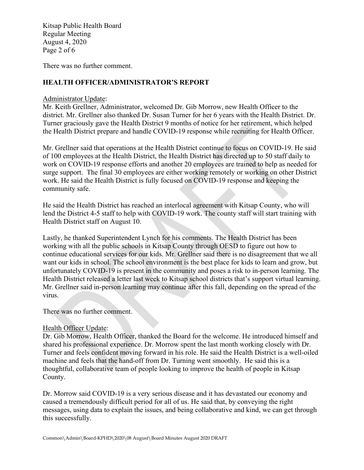Kitsap Public Health Board Regular Meeting August 4, 2020 Page 2 of 6

There was no further comment.

#### **HEALTH OFFICER/ADMINISTRATOR'S REPORT**

#### Administrator Update:

Mr. Keith Grellner, Administrator, welcomed Dr. Gib Morrow, new Health Officer to the district. Mr. Grellner also thanked Dr. Susan Turner for her 6 years with the Health District. Dr. Turner graciously gave the Health District 9 months of notice for her retirement, which helped the Health District prepare and handle COVID-19 response while recruiting for Health Officer.

Mr. Grellner said that operations at the Health District continue to focus on COVID-19. He said of 100 employees at the Health District, the Health District has directed up to 50 staff daily to work on COVID-19 response efforts and another 20 employees are trained to help as needed for surge support. The final 30 employees are either working remotely or working on other District work. He said the Health District is fully focused on COVID-19 response and keeping the community safe.

He said the Health District has reached an interlocal agreement with Kitsap County, who will lend the District 4-5 staff to help with COVID-19 work. The county staff will start training with Health District staff on August 10.

Lastly, he thanked Superintendent Lynch for his comments. The Health District has been working with all the public schools in Kitsap County through OESD to figure out how to continue educational services for our kids. Mr. Grellner said there is no disagreement that we all want our kids in school. The school environment is the best place for kids to learn and grow, but unfortunately COVID-19 is present in the community and poses a risk to in-person learning. The Health District released a letter last week to Kitsap school districts that's support virtual learning. Mr. Grellner said in-person learning may continue after this fall, depending on the spread of the virus.

There was no further comment.

#### Health Officer Update:

Dr. Gib Morrow, Health Officer, thanked the Board for the welcome. He introduced himself and shared his professional experience. Dr. Morrow spent the last month working closely with Dr. Turner and feels confident moving forward in his role. He said the Health District is a well-oiled machine and feels that the hand-off from Dr. Turning went smoothly. He said this is a thoughtful, collaborative team of people looking to improve the health of people in Kitsap County.

Dr. Morrow said COVID-19 is a very serious disease and it has devastated our economy and caused a tremendously difficult period for all of us. He said that, by conveying the right messages, using data to explain the issues, and being collaborative and kind, we can get through this successfully.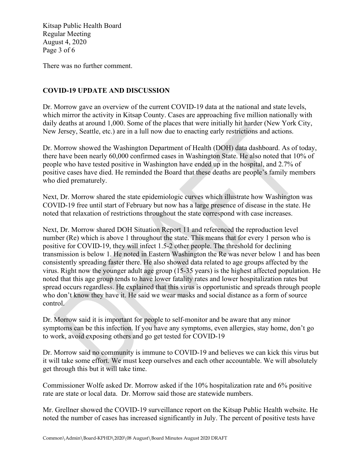Kitsap Public Health Board Regular Meeting August 4, 2020 Page 3 of 6

There was no further comment.

#### **COVID-19 UPDATE AND DISCUSSION**

Dr. Morrow gave an overview of the current COVID-19 data at the national and state levels, which mirror the activity in Kitsap County. Cases are approaching five million nationally with daily deaths at around 1,000. Some of the places that were initially hit harder (New York City, New Jersey, Seattle, etc.) are in a lull now due to enacting early restrictions and actions.

Dr. Morrow showed the Washington Department of Health (DOH) data dashboard. As of today, there have been nearly 60,000 confirmed cases in Washington State. He also noted that 10% of people who have tested positive in Washington have ended up in the hospital, and 2.7% of positive cases have died. He reminded the Board that these deaths are people's family members who died prematurely.

Next, Dr. Morrow shared the state epidemiologic curves which illustrate how Washington was COVID-19 free until start of February but now has a large presence of disease in the state. He noted that relaxation of restrictions throughout the state correspond with case increases.

Next, Dr. Morrow shared DOH Situation Report 11 and referenced the reproduction level number (Re) which is above 1 throughout the state. This means that for every 1 person who is positive for COVID-19, they will infect 1.5-2 other people. The threshold for declining transmission is below 1. He noted in Eastern Washington the Re was never below 1 and has been consistently spreading faster there. He also showed data related to age groups affected by the virus. Right now the younger adult age group (15-35 years) is the highest affected population. He noted that this age group tends to have lower fatality rates and lower hospitalization rates but spread occurs regardless. He explained that this virus is opportunistic and spreads through people who don't know they have it. He said we wear masks and social distance as a form of source control.

Dr. Morrow said it is important for people to self-monitor and be aware that any minor symptoms can be this infection. If you have any symptoms, even allergies, stay home, don't go to work, avoid exposing others and go get tested for COVID-19

Dr. Morrow said no community is immune to COVID-19 and believes we can kick this virus but it will take some effort. We must keep ourselves and each other accountable. We will absolutely get through this but it will take time.

Commissioner Wolfe asked Dr. Morrow asked if the 10% hospitalization rate and 6% positive rate are state or local data. Dr. Morrow said those are statewide numbers.

Mr. Grellner showed the COVID-19 surveillance report on the Kitsap Public Health website. He noted the number of cases has increased significantly in July. The percent of positive tests have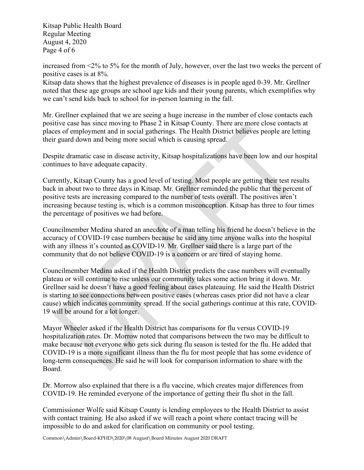Kitsap Public Health Board Regular Meeting August 4, 2020 Page 4 of 6

increased from <2% to 5% for the month of July, however, over the last two weeks the percent of positive cases is at 8%.

Kitsap data shows that the highest prevalence of diseases is in people aged 0-39. Mr. Grellner noted that these age groups are school age kids and their young parents, which exemplifies why we can't send kids back to school for in-person learning in the fall.

Mr. Grellner explained that we are seeing a huge increase in the number of close contacts each positive case has since moving to Phase 2 in Kitsap County. There are more close contacts at places of employment and in social gatherings. The Health District believes people are letting their guard down and being more social which is causing spread.

Despite dramatic case in disease activity, Kitsap hospitalizations have been low and our hospital continues to have adequate capacity.

Currently, Kitsap County has a good level of testing. Most people are getting their test results back in about two to three days in Kitsap. Mr. Grellner reminded the public that the percent of positive tests are increasing compared to the number of tests overall. The positives aren't increasing because testing is, which is a common misconception. Kitsap has three to four times the percentage of positives we had before.

Councilmember Medina shared an anecdote of a man telling his friend he doesn't believe in the accuracy of COVID-19 case numbers because he said any time anyone walks into the hospital with any illness it's counted as COVID-19. Mr. Grellner said there is a large part of the community that do not believe COVID-19 is a concern or are tired of staying home.

Councilmember Medina asked if the Health District predicts the case numbers will eventually plateau or will continue to rise unless our community takes some action bring it down. Mr. Grellner said he doesn't have a good feeling about cases plateauing. He said the Health District is starting to see connections between positive cases (whereas cases prior did not have a clear cause) which indicates community spread. If the social gatherings continue at this rate, COVID-19 will be around for a lot longer.

Mayor Wheeler asked if the Health District has comparisons for flu versus COVID-19 hospitalization rates. Dr. Morrow noted that comparisons between the two may be difficult to make because not everyone who gets sick during flu season is tested for the flu. He added that COVID-19 is a more significant illness than the flu for most people that has some evidence of long-term consequences. He said he will look for comparison information to share with the Board.

Dr. Morrow also explained that there is a flu vaccine, which creates major differences from COVID-19. He reminded everyone of the importance of getting their flu shot in the fall.

Commissioner Wolfe said Kitsap County is lending employees to the Health District to assist with contact training. He also asked if we will reach a point where contact tracing will be impossible to do and asked for clarification on community or pool testing.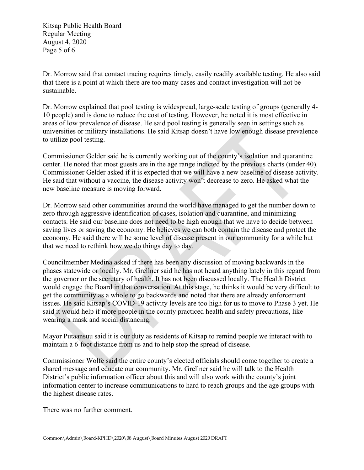Kitsap Public Health Board Regular Meeting August 4, 2020 Page 5 of 6

Dr. Morrow said that contact tracing requires timely, easily readily available testing. He also said that there is a point at which there are too many cases and contact investigation will not be sustainable.

Dr. Morrow explained that pool testing is widespread, large-scale testing of groups (generally 4- 10 people) and is done to reduce the cost of testing. However, he noted it is most effective in areas of low prevalence of disease. He said pool testing is generally seen in settings such as universities or military installations. He said Kitsap doesn't have low enough disease prevalence to utilize pool testing.

Commissioner Gelder said he is currently working out of the county's isolation and quarantine center. He noted that most guests are in the age range indicted by the previous charts (under 40). Commissioner Gelder asked if it is expected that we will have a new baseline of disease activity. He said that without a vaccine, the disease activity won't decrease to zero. He asked what the new baseline measure is moving forward.

Dr. Morrow said other communities around the world have managed to get the number down to zero through aggressive identification of cases, isolation and quarantine, and minimizing contacts. He said our baseline does not need to be high enough that we have to decide between saving lives or saving the economy. He believes we can both contain the disease and protect the economy. He said there will be some level of disease present in our community for a while but that we need to rethink how we do things day to day.

Councilmember Medina asked if there has been any discussion of moving backwards in the phases statewide or locally. Mr. Grellner said he has not heard anything lately in this regard from the governor or the secretary of health. It has not been discussed locally. The Health District would engage the Board in that conversation. At this stage, he thinks it would be very difficult to get the community as a whole to go backwards and noted that there are already enforcement issues. He said Kitsap's COVID-19 activity levels are too high for us to move to Phase 3 yet. He said it would help if more people in the county practiced health and safety precautions, like wearing a mask and social distancing.

Mayor Putaansuu said it is our duty as residents of Kitsap to remind people we interact with to maintain a 6-foot distance from us and to help stop the spread of disease.

Commissioner Wolfe said the entire county's elected officials should come together to create a shared message and educate our community. Mr. Grellner said he will talk to the Health District's public information officer about this and will also work with the county's joint information center to increase communications to hard to reach groups and the age groups with the highest disease rates.

There was no further comment.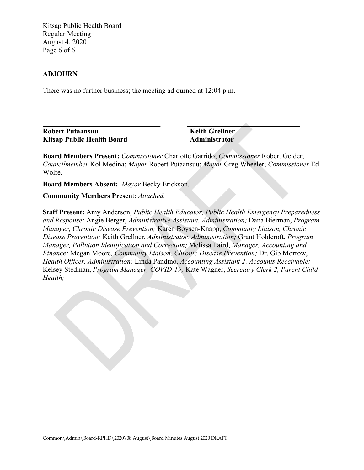Kitsap Public Health Board Regular Meeting August 4, 2020 Page 6 of 6

#### **ADJOURN**

There was no further business; the meeting adjourned at 12:04 p.m.

**Robert Putaansuu Keith Grellner Kitsap Public Health Board Administrator** 

**\_\_\_\_\_\_\_\_\_\_\_\_\_\_\_\_\_\_\_\_\_\_\_\_\_\_\_\_\_\_\_\_\_ \_\_\_\_\_\_\_\_\_\_\_\_\_\_\_\_\_\_\_\_\_\_\_\_\_\_\_\_\_\_\_**

**Board Members Present:** *Commissioner* Charlotte Garrido; *Commissioner* Robert Gelder; *Councilmember* Kol Medina; *Mayor* Robert Putaansuu; *Mayor* Greg Wheeler; *Commissioner* Ed Wolfe.

**Board Members Absent:** *Mayor* Becky Erickson.

**Community Members Presen**t: *Attached.*

**Staff Present:** Amy Anderson, *Public Health Educator, Public Health Emergency Preparedness and Response;* Angie Berger, *Administrative Assistant, Administration;* Dana Bierman, *Program Manager, Chronic Disease Prevention;* Karen Boysen-Knapp, *Community Liaison, Chronic Disease Prevention;* Keith Grellner, *Administrator, Administration;* Grant Holdcroft, *Program Manager, Pollution Identification and Correction;* Melissa Laird, *Manager, Accounting and Finance;* Megan Moore*, Community Liaison, Chronic Disease Prevention;* Dr. Gib Morrow, *Health Officer, Administration;* Linda Pandino, *Accounting Assistant 2, Accounts Receivable;* Kelsey Stedman, *Program Manager, COVID-19;* Kate Wagner, *Secretary Clerk 2, Parent Child Health;*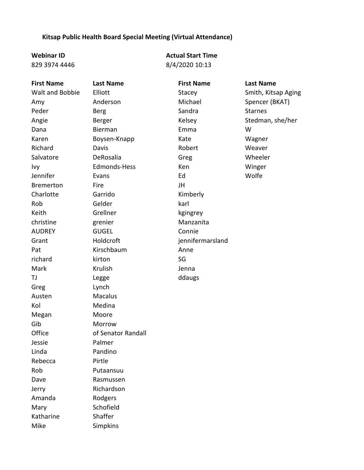#### **Kitsap Public Health Board Special Meeting (Virtual Attendance)**

829 3974 4446

**Webinar ID Actual Start Time** 8/4/2020 10:13

**First Name Last Name First Name Last Name** Walt and Bobbie Elliott Stacey Stacey Smith, Kitsap Aging Amy **Anderson** Michael Spencer (BKAT) Peder **Berg** Berg Sandra Starnes Angie Berger Berger Kelsey Stedman, she/her Dana Bierman Emma W Karen Boysen-Knapp Kate Kate Wagner Richard **Davis** Davis **Robert** Robert Meaver Salvatore **DeRosalia Greg Density** Greg Wheeler Ivy Edmonds-Hess Ken Winger Jennifer Evans Ed Wolfe Bremerton Fire JH Charlotte Garrido Kimberly Rob Gelder karl Keith Grellner kgingrey christine grenier Manzanita AUDREY GUGEL Connie Grant Holdcroft in a hennifermarsland Pat Kirschbaum Anne richard kirton SG Mark **Krulish** Green Mark Jenna TJ Legge ddaugs Greg Lynch Austen Macalus Kol Medina Megan Moore Gib Morrow Office **of Senator Randall** Jessie Palmer Linda Pandino Rebecca Pirtle Rob Putaansuu Dave Rasmussen Jerry Richardson Amanda Rodgers Mary Schofield Katharine Shaffer Mike Simpkins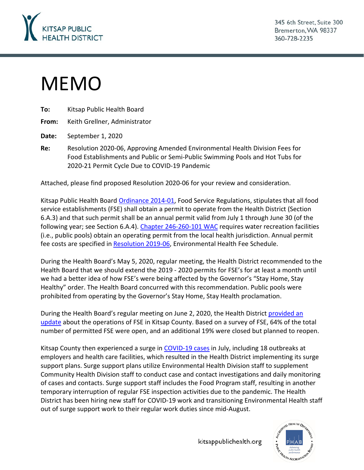<span id="page-17-0"></span>

345 6th Street, Suite 300 Bremerton, WA 98337 360-728-2235

# MEMO

**To:** Kitsap Public Health Board

**From:** Keith Grellner, Administrator

**Date:** September 1, 2020

**Re:** Resolution 2020-06, Approving Amended Environmental Health Division Fees for Food Establishments and Public or Semi-Public Swimming Pools and Hot Tubs for 2020-21 Permit Cycle Due to COVID-19 Pandemic

Attached, please find proposed Resolution 2020-06 for your review and consideration.

Kitsap Public Health Board [Ordinance 2014-01,](https://kitsappublichealth.org/environment/files/regulations/FoodRegsLocal.pdf) Food Service Regulations, stipulates that all food service establishments (FSE) shall obtain a permit to operate from the Health District (Section 6.A.3) and that such permit shall be an annual permit valid from July 1 through June 30 (of the following year; see Section 6.A.4). [Chapter 246-260-101 WAC](https://app.leg.wa.gov/wac/default.aspx?cite=246-260-101) requires water recreation facilities (i.e., public pools) obtain an operating permit from the local health jurisdiction. Annual permit fee costs are specified in [Resolution 2019-06,](https://kitsappublichealth.org/information/files/EH_Fee_Schedule.pdf) Environmental Health Fee Schedule.

During the Health Board's May 5, 2020, regular meeting, the Health District recommended to the Health Board that we should extend the 2019 - 2020 permits for FSE's for at least a month until we had a better idea of how FSE's were being affected by the Governor's "Stay Home, Stay Healthy" order. The Health Board concurred with this recommendation. Public pools were prohibited from operating by the Governor's Stay Home, Stay Health proclamation.

During the Health Board's regular meeting on June 2, 2020, the Health District [provided an](https://kitsappublichealth.org/about/files/agendas/2020/0602_BOH_Agenda.pdf)  [update](https://kitsappublichealth.org/about/files/agendas/2020/0602_BOH_Agenda.pdf) about the operations of FSE in Kitsap County. Based on a survey of FSE, 64% of the total number of permitted FSE were open, and an additional 19% were closed but planned to reopen.

Kitsap County then experienced a surge in [COVID-19 cases](https://kitsappublichealth.org/CommunityHealth/CoronaVirus.php) in July, including 18 outbreaks at employers and health care facilities, which resulted in the Health District implementing its surge support plans. Surge support plans utilize Environmental Health Division staff to supplement Community Health Division staff to conduct case and contact investigations and daily monitoring of cases and contacts. Surge support staff includes the Food Program staff, resulting in another temporary interruption of regular FSE inspection activities due to the pandemic. The Health District has been hiring new staff for COVID-19 work and transitioning Environmental Health staff out of surge support work to their regular work duties since mid-August.

kitsappublichealth.org

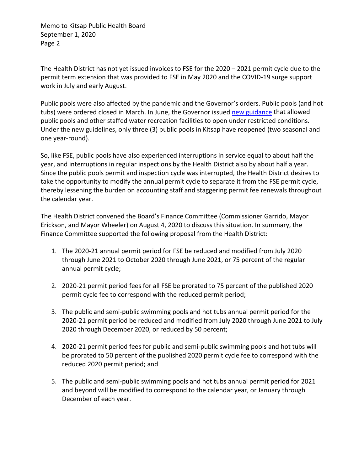Memo to Kitsap Public Health Board September 1, 2020 Page 2

The Health District has not yet issued invoices to FSE for the 2020 – 2021 permit cycle due to the permit term extension that was provided to FSE in May 2020 and the COVID-19 surge support work in July and early August.

Public pools were also affected by the pandemic and the Governor's orders. Public pools (and hot tubs) were ordered closed in March. In June, the Governor issued [new guidance](https://www.governor.wa.gov/sites/default/files/COVID19Phase1and2MiscRecreationMemo.pdf) that allowed public pools and other staffed water recreation facilities to open under restricted conditions. Under the new guidelines, only three (3) public pools in Kitsap have reopened (two seasonal and one year-round).

So, like FSE, public pools have also experienced interruptions in service equal to about half the year, and interruptions in regular inspections by the Health District also by about half a year. Since the public pools permit and inspection cycle was interrupted, the Health District desires to take the opportunity to modify the annual permit cycle to separate it from the FSE permit cycle, thereby lessening the burden on accounting staff and staggering permit fee renewals throughout the calendar year.

The Health District convened the Board's Finance Committee (Commissioner Garrido, Mayor Erickson, and Mayor Wheeler) on August 4, 2020 to discuss this situation. In summary, the Finance Committee supported the following proposal from the Health District:

- 1. The 2020-21 annual permit period for FSE be reduced and modified from July 2020 through June 2021 to October 2020 through June 2021, or 75 percent of the regular annual permit cycle;
- 2. 2020-21 permit period fees for all FSE be prorated to 75 percent of the published 2020 permit cycle fee to correspond with the reduced permit period;
- 3. The public and semi-public swimming pools and hot tubs annual permit period for the 2020-21 permit period be reduced and modified from July 2020 through June 2021 to July 2020 through December 2020, or reduced by 50 percent;
- 4. 2020-21 permit period fees for public and semi-public swimming pools and hot tubs will be prorated to 50 percent of the published 2020 permit cycle fee to correspond with the reduced 2020 permit period; and
- 5. The public and semi-public swimming pools and hot tubs annual permit period for 2021 and beyond will be modified to correspond to the calendar year, or January through December of each year.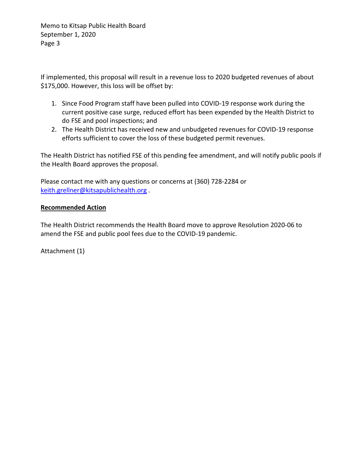Memo to Kitsap Public Health Board September 1, 2020 Page 3

If implemented, this proposal will result in a revenue loss to 2020 budgeted revenues of about \$175,000. However, this loss will be offset by:

- 1. Since Food Program staff have been pulled into COVID-19 response work during the current positive case surge, reduced effort has been expended by the Health District to do FSE and pool inspections; and
- 2. The Health District has received new and unbudgeted revenues for COVID-19 response efforts sufficient to cover the loss of these budgeted permit revenues.

The Health District has notified FSE of this pending fee amendment, and will notify public pools if the Health Board approves the proposal.

Please contact me with any questions or concerns at (360) 728-2284 or [keith.grellner@kitsapublichealth.org](mailto:keith.grellner@kitsapublichealth.org) .

#### **Recommended Action**

The Health District recommends the Health Board move to approve Resolution 2020-06 to amend the FSE and public pool fees due to the COVID-19 pandemic.

Attachment (1)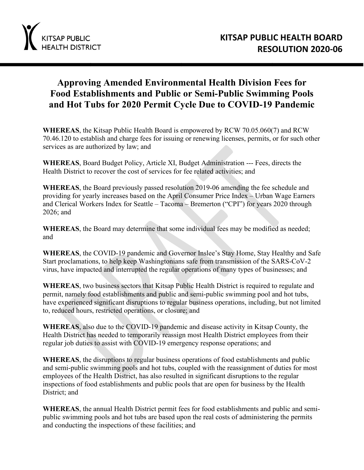

# **Approving Amended Environmental Health Division Fees for Food Establishments and Public or Semi-Public Swimming Pools and Hot Tubs for 2020 Permit Cycle Due to COVID-19 Pandemic**

**WHEREAS**, the Kitsap Public Health Board is empowered by RCW 70.05.060(7) and RCW 70.46.120 to establish and charge fees for issuing or renewing licenses, permits, or for such other services as are authorized by law; and

**WHEREAS**, Board Budget Policy, Article XI, Budget Administration --- Fees, directs the Health District to recover the cost of services for fee related activities; and

**WHEREAS**, the Board previously passed resolution 2019-06 amending the fee schedule and providing for yearly increases based on the April Consumer Price Index – Urban Wage Earners and Clerical Workers Index for Seattle – Tacoma – Bremerton ("CPI") for years 2020 through 2026; and

WHEREAS, the Board may determine that some individual fees may be modified as needed; and

**WHEREAS**, the COVID-19 pandemic and Governor Inslee's Stay Home, Stay Healthy and Safe Start proclamations, to help keep Washingtonians safe from transmission of the SARS-CoV-2 virus, have impacted and interrupted the regular operations of many types of businesses; and

**WHEREAS**, two business sectors that Kitsap Public Health District is required to regulate and permit, namely food establishments and public and semi-public swimming pool and hot tubs, have experienced significant disruptions to regular business operations, including, but not limited to, reduced hours, restricted operations, or closure; and

**WHEREAS**, also due to the COVID-19 pandemic and disease activity in Kitsap County, the Health District has needed to temporarily reassign most Health District employees from their regular job duties to assist with COVID-19 emergency response operations; and

**WHEREAS**, the disruptions to regular business operations of food establishments and public and semi-public swimming pools and hot tubs, coupled with the reassignment of duties for most employees of the Health District, has also resulted in significant disruptions to the regular inspections of food establishments and public pools that are open for business by the Health District; and

**WHEREAS**, the annual Health District permit fees for food establishments and public and semipublic swimming pools and hot tubs are based upon the real costs of administering the permits and conducting the inspections of these facilities; and